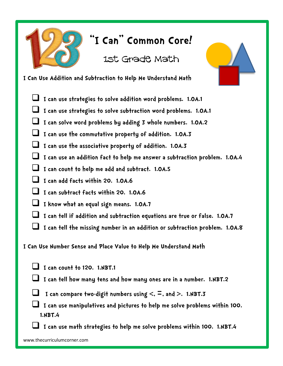

## **"I Can" Common Core!**

1st Grade Math

**I Can Use Addition and Subtraction to Help Me Understand Math**

- **I can use strategies to solve addition word problems. 1.OA.1**
- **I can use strategies to solve subtraction word problems. 1.OA.1**
- **I can solve word problems by adding 3 whole numbers. 1.OA.2**
- **I can use the commutative property of addition. 1.OA.3**
- **I can use the associative property of addition. 1.OA.3**
- **I can use an addition fact to help me answer a subtraction problem. 1.OA.4**
- **I can count to help me add and subtract. 1.OA.5**
- **I can add facts within 20. 1.OA.6**
- **I can subtract facts within 20. 1.OA.6**
- **I know what an equal sign means. 1.OA.7**
- **I can tell if addition and subtraction equations are true or false. 1.OA.7**
- **I can tell the missing number in an addition or subtraction problem. 1.OA.8**

**I Can Use Number Sense and Place Value to Help Me Understand Math**

- **I can count to 120. 1.NBT.1**
- **I can tell how many tens and how many ones are in a number. 1.NBT.2**
	- **I can compare two-digit numbers using <,** =**, and >. 1.NBT.3**
- **I can use manipulatives and pictures to help me solve problems within 100. 1.NBT.4**
- **I can use math strategies to help me solve problems within 100. 1.NBT.4**

www.thecurriculumcorner.com